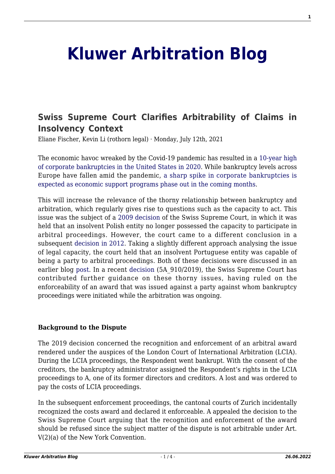# **[Kluwer Arbitration Blog](http://arbitrationblog.kluwerarbitration.com/)**

# **[Swiss Supreme Court Clarifies Arbitrability of Claims in](http://arbitrationblog.kluwerarbitration.com/2021/07/12/swiss-supreme-court-clarifies-arbitrability-of-claims-in-insolvency-context/) [Insolvency Context](http://arbitrationblog.kluwerarbitration.com/2021/07/12/swiss-supreme-court-clarifies-arbitrability-of-claims-in-insolvency-context/)**

Eliane Fischer, Kevin Li (rothorn legal) · Monday, July 12th, 2021

The economic havoc wreaked by the Covid-19 pandemic has resulted in a [10-year high](https://www.spglobal.com/marketintelligence/en/news-insights/latest-news-headlines/us-corporate-bankruptcies-end-2020-at-10-year-high-amid-covid-19-pandemic-61973656) [of corporate bankruptcies in the United States in 2020.](https://www.spglobal.com/marketintelligence/en/news-insights/latest-news-headlines/us-corporate-bankruptcies-end-2020-at-10-year-high-amid-covid-19-pandemic-61973656) While bankruptcy levels across Europe have fallen amid the pandemic, [a sharp spike in corporate bankruptcies is](https://www.reuters.com/article/us-eurozone-eurogroup-solvency-idUSKBN2AB0SJ) [expected as economic support programs phase out in the coming months](https://www.reuters.com/article/us-eurozone-eurogroup-solvency-idUSKBN2AB0SJ).

This will increase the relevance of the thorny relationship between bankruptcy and arbitration, which regularly gives rise to questions such as the capacity to act. This issue was the subject of a [2009 decision](https://www.bger.ch/ext/eurospider/live/de/php/aza/http/index.php?highlight_docid=aza%3A%2F%2F31-03-2009-4A_428-2008&lang=de&type=show_document&zoom=YES&) of the Swiss Supreme Court, in which it was held that an insolvent Polish entity no longer possessed the capacity to participate in arbitral proceedings. However, the court came to a different conclusion in a subsequent [decision in 2012.](https://www.bger.ch/ext/eurospider/live/de/php/aza/http/index.php?highlight_docid=aza%3A%2F%2F16-10-2012-4A_50-2012&lang=de&type=show_document&zoom=YES&) Taking a slightly different approach analysing the issue of legal capacity, the court held that an insolvent Portuguese entity was capable of being a party to arbitral proceedings. Both of these decisions were discussed in an earlier blog [post](http://arbitrationblog.kluwerarbitration.com/2012/12/05/insolvency-and-arbitration-swiss-supreme-court-revisits-its-vivendi-vs-elektrim-decision/). In a recent [decision](https://www.bger.ch/ext/eurospider/live/de/php/aza/http/index.php?lang=de&type=highlight_simple_similar_documents&page=1&from_date=&to_date=&sort=relevance&insertion_date=&top_subcollection_aza=all&docid=atf%3A%2F%2F135-III-470&rank=8&azaclir=aza&highlight_docid=aza%3A%2F%2F01-03-2021-5A_910-2019&number_of_ranks=986) (5A\_910/2019), the Swiss Supreme Court has contributed further guidance on these thorny issues, having ruled on the enforceability of an award that was issued against a party against whom bankruptcy proceedings were initiated while the arbitration was ongoing.

#### **Background to the Dispute**

The 2019 decision concerned the recognition and enforcement of an arbitral award rendered under the auspices of the London Court of International Arbitration (LCIA). During the LCIA proceedings, the Respondent went bankrupt. With the consent of the creditors, the bankruptcy administrator assigned the Respondent's rights in the LCIA proceedings to A, one of its former directors and creditors. A lost and was ordered to pay the costs of LCIA proceedings.

In the subsequent enforcement proceedings, the cantonal courts of Zurich incidentally recognized the costs award and declared it enforceable. A appealed the decision to the Swiss Supreme Court arguing that the recognition and enforcement of the award should be refused since the subject matter of the dispute is not arbitrable under Art. V(2)(a) of the New York Convention.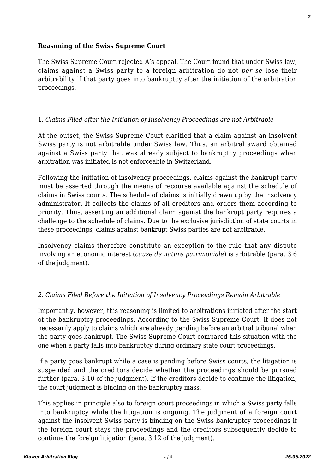# **Reasoning of the Swiss Supreme Court**

The Swiss Supreme Court rejected A's appeal. The Court found that under Swiss law, claims against a Swiss party to a foreign arbitration do not *per se* lose their arbitrability if that party goes into bankruptcy after the initiation of the arbitration proceedings.

### 1. *Claims Filed after the Initiation of Insolvency Proceedings are not Arbitrable*

At the outset, the Swiss Supreme Court clarified that a claim against an insolvent Swiss party is not arbitrable under Swiss law. Thus, an arbitral award obtained against a Swiss party that was already subject to bankruptcy proceedings when arbitration was initiated is not enforceable in Switzerland.

Following the initiation of insolvency proceedings, claims against the bankrupt party must be asserted through the means of recourse available against the schedule of claims in Swiss courts. The schedule of claims is initially drawn up by the insolvency administrator. It collects the claims of all creditors and orders them according to priority. Thus, asserting an additional claim against the bankrupt party requires a challenge to the schedule of claims. Due to the exclusive jurisdiction of state courts in these proceedings, claims against bankrupt Swiss parties are not arbitrable.

Insolvency claims therefore constitute an exception to the rule that any dispute involving an economic interest (*cause de nature patrimoniale*) is arbitrable (para. 3.6 of the judgment).

# *2. Claims Filed Before the Initiation of Insolvency Proceedings Remain Arbitrable*

Importantly, however, this reasoning is limited to arbitrations initiated after the start of the bankruptcy proceedings. According to the Swiss Supreme Court, it does not necessarily apply to claims which are already pending before an arbitral tribunal when the party goes bankrupt. The Swiss Supreme Court compared this situation with the one when a party falls into bankruptcy during ordinary state court proceedings.

If a party goes bankrupt while a case is pending before Swiss courts, the litigation is suspended and the creditors decide whether the proceedings should be pursued further (para. 3.10 of the judgment). If the creditors decide to continue the litigation, the court judgment is binding on the bankruptcy mass.

This applies in principle also to foreign court proceedings in which a Swiss party falls into bankruptcy while the litigation is ongoing. The judgment of a foreign court against the insolvent Swiss party is binding on the Swiss bankruptcy proceedings if the foreign court stays the proceedings and the creditors subsequently decide to continue the foreign litigation (para. 3.12 of the judgment).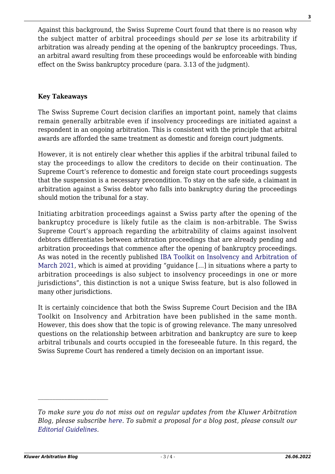Against this background, the Swiss Supreme Court found that there is no reason why the subject matter of arbitral proceedings should *per se* lose its arbitrability if arbitration was already pending at the opening of the bankruptcy proceedings. Thus, an arbitral award resulting from these proceedings would be enforceable with binding effect on the Swiss bankruptcy procedure (para. 3.13 of the judgment).

#### **Key Takeaways**

The Swiss Supreme Court decision clarifies an important point, namely that claims remain generally arbitrable even if insolvency proceedings are initiated against a respondent in an ongoing arbitration. This is consistent with the principle that arbitral awards are afforded the same treatment as domestic and foreign court judgments.

However, it is not entirely clear whether this applies if the arbitral tribunal failed to stay the proceedings to allow the creditors to decide on their continuation. The Supreme Court's reference to domestic and foreign state court proceedings suggests that the suspension is a necessary precondition. To stay on the safe side, a claimant in arbitration against a Swiss debtor who falls into bankruptcy during the proceedings should motion the tribunal for a stay.

Initiating arbitration proceedings against a Swiss party after the opening of the bankruptcy procedure is likely futile as the claim is non-arbitrable. The Swiss Supreme Court's approach regarding the arbitrability of claims against insolvent debtors differentiates between arbitration proceedings that are already pending and arbitration proceedings that commence after the opening of bankruptcy proceedings. As was noted in the recently published [IBA Toolkit on Insolvency and Arbitration of](https://www.ibanet.org/LPD/Dispute_Resolution_Section/Arbitration/toolkit-arbitration-insolvency) [March 2021](https://www.ibanet.org/LPD/Dispute_Resolution_Section/Arbitration/toolkit-arbitration-insolvency), which is aimed at providing "guidance […] in situations where a party to arbitration proceedings is also subject to insolvency proceedings in one or more jurisdictions", this distinction is not a unique Swiss feature, but is also followed in many other jurisdictions.

It is certainly coincidence that both the Swiss Supreme Court Decision and the IBA Toolkit on Insolvency and Arbitration have been published in the same month. However, this does show that the topic is of growing relevance. The many unresolved questions on the relationship between arbitration and bankruptcy are sure to keep arbitral tribunals and courts occupied in the foreseeable future. In this regard, the Swiss Supreme Court has rendered a timely decision on an important issue.

*To make sure you do not miss out on regular updates from the Kluwer Arbitration Blog, please subscribe [here](http://arbitrationblog.kluwerarbitration.com/newsletter/). To submit a proposal for a blog post, please consult our [Editorial Guidelines.](http://arbitrationblog.kluwerarbitration.com/editorial-guidelines/)*